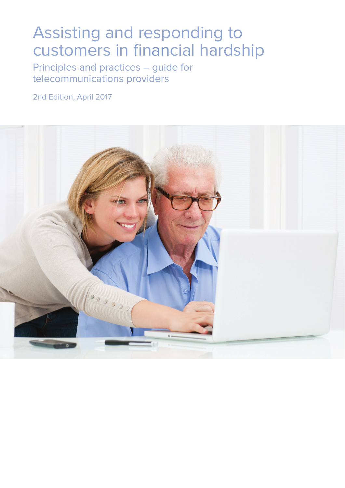## Assisting and responding to customers in financial hardship

Principles and practices – guide for telecommunications providers

2nd Edition, April 2017

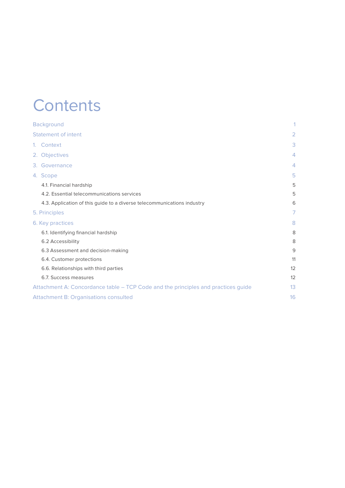### **Contents**

| <b>Background</b>                                                                 | 1              |
|-----------------------------------------------------------------------------------|----------------|
| <b>Statement of intent</b>                                                        | 2              |
| 1. Context                                                                        | 3              |
| 2. Objectives                                                                     | $\overline{4}$ |
| 3. Governance                                                                     | $\overline{4}$ |
| 4. Scope                                                                          | 5              |
| 4.1. Financial hardship                                                           | 5              |
| 4.2. Essential telecommunications services                                        | 5              |
| 4.3. Application of this guide to a diverse telecommunications industry           | 6              |
| 5. Principles                                                                     | 7              |
| 6. Key practices                                                                  | 8              |
| 6.1. Identifying financial hardship                                               | 8              |
| 6.2 Accessibility                                                                 | 8              |
| 6.3 Assessment and decision-making                                                | 9              |
| 6.4. Customer protections                                                         | 11             |
| 6.6. Relationships with third parties                                             | 12             |
| 6.7. Success measures                                                             | 12             |
| Attachment A: Concordance table – TCP Code and the principles and practices guide | 13             |
| <b>Attachment B: Organisations consulted</b>                                      | 16             |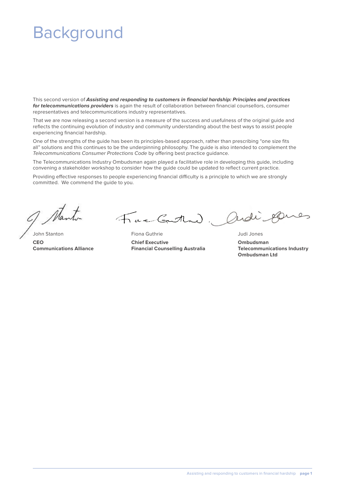## Background

This second version of **Assisting and responding to customers in financial hardship: Principles and practices for telecommunications providers** is again the result of collaboration between financial counsellors, consumer representatives and telecommunications industry representatives.

That we are now releasing a second version is a measure of the success and usefulness of the original guide and reflects the continuing evolution of industry and community understanding about the best ways to assist people experiencing financial hardship.

One of the strengths of the guide has been its principles-based approach, rather than prescribing "one size fits all" solutions and this continues to be the underpinning philosophy. The guide is also intended to complement the Telecommunications Consumer Protections Code by offering best practice guidance.

The Telecommunications Industry Ombudsman again played a facilitative role in developing this guide, including convening a stakeholder workshop to consider how the guide could be updated to reflect current practice.

Providing effective responses to people experiencing financial difficulty is a principle to which we are strongly committed. We commend the guide to you.

Tue Gutta)

John Stanton Fiona Guthrie Judi Jones **CEO Chief Executive Ombudsman Communications Alliance Financial Counselling Australia Telecommunications Industry** 

Ordi &

**Ombudsman Ltd**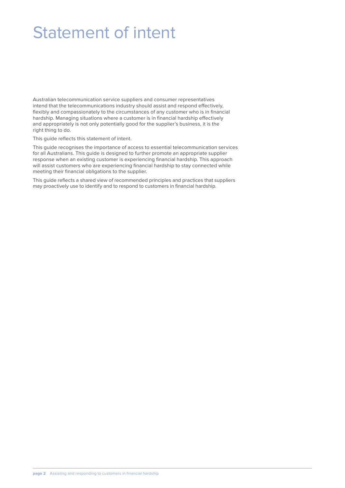## Statement of intent

Australian telecommunication service suppliers and consumer representatives intend that the telecommunications industry should assist and respond effectively, flexibly and compassionately to the circumstances of any customer who is in financial hardship. Managing situations where a customer is in financial hardship effectively and appropriately is not only potentially good for the supplier's business, it is the right thing to do.

This guide reflects this statement of intent.

This guide recognises the importance of access to essential telecommunication services for all Australians. This guide is designed to further promote an appropriate supplier response when an existing customer is experiencing financial hardship. This approach will assist customers who are experiencing financial hardship to stay connected while meeting their financial obligations to the supplier.

This guide reflects a shared view of recommended principles and practices that suppliers may proactively use to identify and to respond to customers in financial hardship.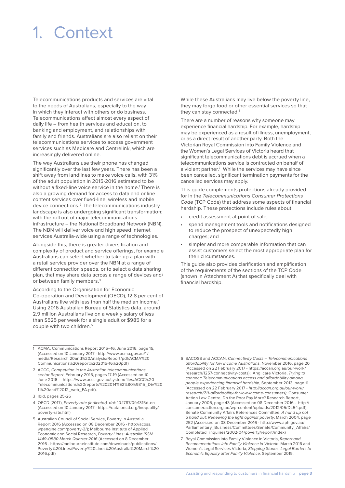## 1. Context

Telecommunications products and services are vital to the needs of Australians, especially to the way in which they interact with others or do business. Telecommunications affect almost every aspect of daily life – from health services and education, to banking and employment, and relationships with family and friends. Australians are also reliant on their telecommunications services to access government services such as Medicare and Centrelink, which are increasingly delivered online.

The way Australians use their phone has changed significantly over the last few years. There has been a shift away from landlines to make voice calls, with 31% of the adult population in 2015-2016 estimated to be without a fixed-line voice service in the home.<sup>1</sup> There is also a growing demand for access to data and online content services over fixed-line, wireless and mobile device connections.2 The telecommunications industry landscape is also undergoing significant transformation: with the roll out of major telecommunications infrastructure – the National Broadband Network (NBN). The NBN will deliver voice and high speed internet services Australia-wide using a range of technologies.

Alongside this, there is greater diversification and complexity of product and service offerings, for example Australians can select whether to take up a plan with a retail service provider over the NBN at a range of different connection speeds, or to select a data sharing plan, that may share data across a range of devices and/ or between family members.<sup>3</sup>

According to the Organisation for Economic Co-operation and Development (OECD), 12.8 per cent of Australians live with less than half the median income.<sup>4</sup> Using 2016 Australian Bureau of Statistics data, around 2.9 million Australians live on a weekly salary of less than \$525 per week for a single adult or \$985 for a couple with two children.5

- 3 Ibid, pages 25-26
- 4 OECD (2017), Poverty rate (indicator). doi: 10.1787/0fe1315d-en (Accessed on 10 January 2017 - https://data.oecd.org/inequality/ poverty-rate.htm)

While these Australians may live below the poverty line, they may forgo food or other essential services so that they can stay connected.<sup>6</sup>

There are a number of reasons why someone may experience financial hardship. For example, hardship may be experienced as a result of illness, unemployment, or as a direct result of another party. Both the Victorian Royal Commission into Family Violence and the Women's Legal Services of Victoria heard that significant telecommunications debt is accrued when a telecommunications service is contracted on behalf of a violent partner.<sup>7</sup> While the services may have since been cancelled, significant termination payments for the cancelled services may apply.

This guide complements protections already provided for in the Telecommunications Consumer Protections Code (TCP Code) that address some aspects of financial hardship. These protections include rules about:

- credit assessment at point of sale;
- spend management tools and notifications designed to reduce the prospect of unexpectedly high charges; and
- simpler and more comparable information that can assist customers select the most appropriate plan for their circumstances.

This guide also provides clarification and amplification of the requirements of the sections of the TCP Code (shown in Attachment A) that specifically deal with financial hardship.

<sup>1</sup> ACMA, Communications Report 2015–16, June 2016, page 15, (Accessed on 10 January 2017 - http://www.acma.gov.au/~/ media/Research 20and%20Analysis/Report/pdf/ACMA%20 Communications%20report%202015-16%20pdf)

<sup>2</sup> ACCC, Competition in the Australian telecommunications sector Report, February 2016, pages 17-19 (Accessed on 10 June 2016 - https://www.accc.gov.au/system/files/ACCC%20 Telecommunications%20reports%202014%E2%80%9315\_Div%20 11%20and%2012\_web\_FA.pdf).

<sup>5</sup> Australian Council of Social Service, Poverty in Australia Report 2016 (Accessed on 08 December 2016 - http://acoss. wpengine.com/poverty-2/); Melbourne Institute of Applied Economic and Social Research, Poverty Lines: Australia ISSN 1449-0530 March Quarter 2016 (Accessed on 8 December 2016 - https://melbourneinstitute.com/downloads/publications/ Poverty%20Lines/Poverty%20Lines%20Australia%20March%20 2016.pdf)

<sup>6</sup> SACOSS and ACCAN, Connectivity Costs – Telecommunications affordability for low income Australians, November 2016, page 20 (Accessed on 22 February 2017 - https://accan.org.au/our-work/ research/1257-connectivity-costs); Anglicare Victoria, Trying to connect: Telecommunications access and affordability among people experiencing financial hardship, September 2013, page 11 (Accessed on 22 February 2017 - http://accan.org.au/our-work/ research/711-affordability-for-low-income-consumers); Consumer Action Law Centre, Do the Poor Pay More? Research Report, January 2005, page 43 (Accessed on 08 December 2016 - http:// consumeraction.org.au/wp-content/uploads/2012/05/DL54.pdf); Senate Community Affairs References Committee, A hand up not a hand out: Renewing the fight against poverty, March 2004, page 252 (Accessed on 08 December 2016 - http://www.aph.gov.au/ Parliamentary\_Business/Committees/Senate/Community\_Affairs/ Completed\_inquiries/2002-04/poverty/report/index)

<sup>7</sup> Royal Commission into Family Violence in Victoria, Report and Recommendations into Family Violence in Victoria, March 2016 and Women's Legal Services Victoria, Stepping Stones: Legal Barriers to Economic Equality after Family Violence, September 2015.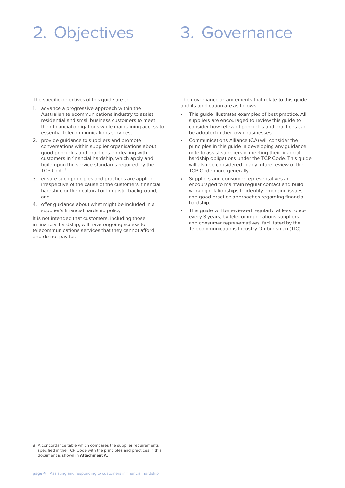## 2. Objectives

### 3. Governance

The specific objectives of this guide are to:

- 1. advance a progressive approach within the Australian telecommunications industry to assist residential and small business customers to meet their financial obligations while maintaining access to essential telecommunications services;
- 2. provide guidance to suppliers and promote conversations within supplier organisations about good principles and practices for dealing with customers in financial hardship, which apply and build upon the service standards required by the TCP Code<sup>8</sup>;
- 3. ensure such principles and practices are applied irrespective of the cause of the customers' financial hardship, or their cultural or linguistic background; and
- 4. offer guidance about what might be included in a supplier's financial hardship policy.

It is not intended that customers, including those in financial hardship, will have ongoing access to telecommunications services that they cannot afford and do not pay for.

The governance arrangements that relate to this guide and its application are as follows:

- This quide illustrates examples of best practice. All suppliers are encouraged to review this guide to consider how relevant principles and practices can be adopted in their own businesses.
- Communications Alliance (CA) will consider the principles in this guide in developing any guidance note to assist suppliers in meeting their financial hardship obligations under the TCP Code. This guide will also be considered in any future review of the TCP Code more generally.
- Suppliers and consumer representatives are encouraged to maintain regular contact and build working relationships to identify emerging issues and good practice approaches regarding financial hardship.
- This guide will be reviewed regularly, at least once every 3 years, by telecommunications suppliers and consumer representatives, facilitated by the Telecommunications Industry Ombudsman (TIO).

<sup>8</sup> A concordance table which compares the supplier requirements specified in the TCP Code with the principles and practices in this document is shown in **Attachment A.**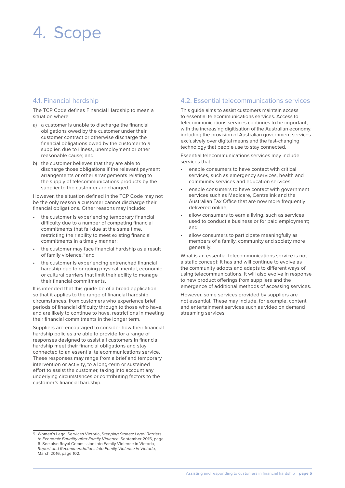### 4. Scope

#### 4.1. Financial hardship

The TCP Code defines Financial Hardship to mean a situation where:

- a) a customer is unable to discharge the financial obligations owed by the customer under their customer contract or otherwise discharge the financial obligations owed by the customer to a supplier, due to illness, unemployment or other reasonable cause; and
- b) the customer believes that they are able to discharge those obligations if the relevant payment arrangements or other arrangements relating to the supply of telecommunications products by the supplier to the customer are changed.

However, the situation defined in the TCP Code may not be the only reason a customer cannot discharge their financial obligations. Other reasons may include:

- the customer is experiencing temporary financial difficulty due to a number of competing financial commitments that fall due at the same time, restricting their ability to meet existing financial commitments in a timely manner;
- the customer may face financial hardship as a result of family violence;<sup>9</sup> and
- the customer is experiencing entrenched financial hardship due to ongoing physical, mental, economic or cultural barriers that limit their ability to manage their financial commitments.

It is intended that this guide be of a broad application so that it applies to the range of financial hardship circumstances, from customers who experience brief periods of financial difficulty through to those who have, and are likely to continue to have, restrictions in meeting their financial commitments in the longer term.

Suppliers are encouraged to consider how their financial hardship policies are able to provide for a range of responses designed to assist all customers in financial hardship meet their financial obligations and stay connected to an essential telecommunications service. These responses may range from a brief and temporary intervention or activity, to a long-term or sustained effort to assist the customer, taking into account any underlying circumstances or contributing factors to the customer's financial hardship.

#### 9 Women's Legal Services Victoria, Stepping Stones: Legal Barriers to Economic Equality after Family Violence, September 2015, page 6. See also Royal Commission into Family Violence in Victoria, Report and Recommendations into Family Violence in Victoria, March 2016, page 102.

#### 4.2. Essential telecommunications services

This guide aims to assist customers maintain access to essential telecommunications services. Access to telecommunications services continues to be important, with the increasing digitisation of the Australian economy, including the provision of Australian government services exclusively over digital means and the fast-changing technology that people use to stay connected.

Essential telecommunications services may include services that:

- enable consumers to have contact with critical services, such as emergency services, health and community services and education services;
- enable consumers to have contact with government services such as Medicare, Centrelink and the Australian Tax Office that are now more frequently delivered online;
- allow consumers to earn a living, such as services used to conduct a business or for paid employment; and
- allow consumers to participate meaningfully as members of a family, community and society more generally.

What is an essential telecommunications service is not a static concept; it has and will continue to evolve as the community adopts and adapts to different ways of using telecommunications. It will also evolve in response to new product offerings from suppliers and the emergence of additional methods of accessing services.

However, some services provided by suppliers are not essential. These may include, for example, content and entertainment services such as video on demand streaming services.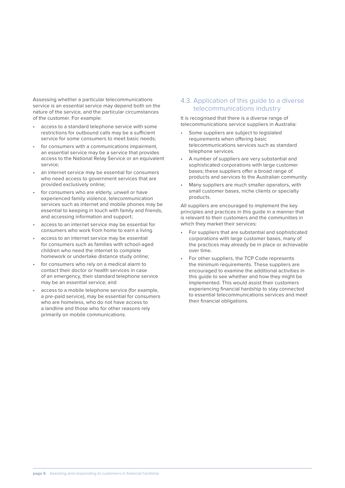Assessing whether a particular telecommunications service is an essential service may depend both on the nature of the service, and the particular circumstances of the customer. For example:

- access to a standard telephone service with some restrictions for outbound calls may be a sufficient service for some consumers to meet basic needs;
- for consumers with a communications impairment, an essential service may be a service that provides access to the National Relay Service or an equivalent service;
- an internet service may be essential for consumers who need access to government services that are provided exclusively online;
- for consumers who are elderly, unwell or have experienced family violence, telecommunication services such as internet and mobile phones may be essential to keeping in touch with family and friends, and accessing information and support;
- access to an internet service may be essential for consumers who work from home to earn a living
- access to an internet service may be essential for consumers such as families with school-aged children who need the internet to complete homework or undertake distance study online;
- for consumers who rely on a medical alarm to contact their doctor or health services in case of an emergency, their standard telephone service may be an essential service; and
- access to a mobile telephone service (for example, a pre-paid service), may be essential for consumers who are homeless, who do not have access to a landline and those who for other reasons rely primarily on mobile communications.

#### 4.3. Application of this guide to a diverse telecommunications industry

It is recognised that there is a diverse range of telecommunications service suppliers in Australia:

- Some suppliers are subject to legislated requirements when offering basic telecommunications services such as standard telephone services.
- A number of suppliers are very substantial and sophisticated corporations with large customer bases; these suppliers offer a broad range of products and services to the Australian community.
- Many suppliers are much smaller operators, with small customer bases, niche clients or specialty products.

All suppliers are encouraged to implement the key principles and practices in this guide in a manner that is relevant to their customers and the communities in which they market their services:

- For suppliers that are substantial and sophisticated corporations with large customer bases, many of the practices may already be in place or achievable over time.
- For other suppliers, the TCP Code represents the minimum requirements. These suppliers are encouraged to examine the additional activities in this guide to see whether and how they might be implemented. This would assist their customers experiencing financial hardship to stay connected to essential telecommunications services and meet their financial obligations.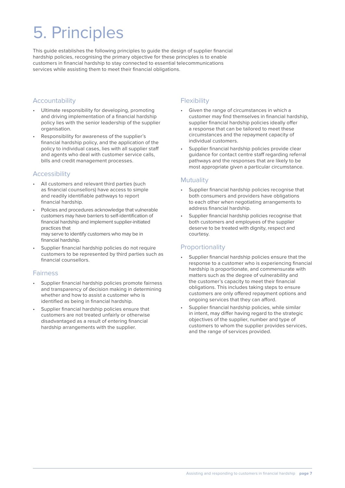# 5. Principles

This guide establishes the following principles to guide the design of supplier financial hardship policies, recognising the primary objective for these principles is to enable customers in financial hardship to stay connected to essential telecommunications services while assisting them to meet their financial obligations.

#### Accountability

- Ultimate responsibility for developing, promoting and driving implementation of a financial hardship policy lies with the senior leadership of the supplier organisation.
- Responsibility for awareness of the supplier's financial hardship policy, and the application of the policy to individual cases, lies with all supplier staff and agents who deal with customer service calls, bills and credit management processes.

#### **Accessibility**

- All customers and relevant third parties (such as financial counsellors) have access to simple and readily identifiable pathways to report financial hardship.
- Policies and procedures acknowledge that vulnerable customers may have barriers to self-identification of financial hardship and implement supplier-initiated practices that may serve to identify customers who may be in financial hardship.
- Supplier financial hardship policies do not require customers to be represented by third parties such as financial counsellors.

#### Fairness

- Supplier financial hardship policies promote fairness and transparency of decision making in determining whether and how to assist a customer who is identified as being in financial hardship.
- Supplier financial hardship policies ensure that customers are not treated unfairly or otherwise disadvantaged as a result of entering financial hardship arrangements with the supplier.

#### **Flexibility**

- Given the range of circumstances in which a customer may find themselves in financial hardship, supplier financial hardship policies ideally offer a response that can be tailored to meet these circumstances and the repayment capacity of individual customers.
- Supplier financial hardship policies provide clear guidance for contact centre staff regarding referral pathways and the responses that are likely to be most appropriate given a particular circumstance.

#### **Mutuality**

- Supplier financial hardship policies recognise that both consumers and providers have obligations to each other when negotiating arrangements to address financial hardship.
- Supplier financial hardship policies recognise that both customers and employees of the supplier deserve to be treated with dignity, respect and courtesy.

### **Proportionality**

- Supplier financial hardship policies ensure that the response to a customer who is experiencing financial hardship is proportionate, and commensurate with matters such as the degree of vulnerability and the customer's capacity to meet their financial obligations. This includes taking steps to ensure customers are only offered repayment options and ongoing services that they can afford.
- Supplier financial hardship policies, while similar in intent, may differ having regard to the strategic objectives of the supplier, number and type of customers to whom the supplier provides services, and the range of services provided.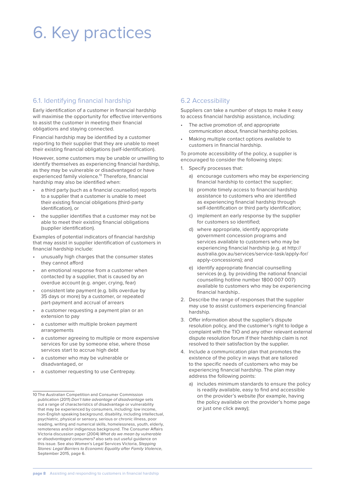## 6. Key practices

#### 6.1. Identifying financial hardship

Early identification of a customer in financial hardship will maximise the opportunity for effective interventions to assist the customer in meeting their financial obligations and staying connected.

Financial hardship may be identified by a customer reporting to their supplier that they are unable to meet their existing financial obligations (self-identification).

However, some customers may be unable or unwilling to identify themselves as experiencing financial hardship, as they may be vulnerable or disadvantaged or have experienced family violence.10 Therefore, financial hardship may also be identified when:

- a third party (such as a financial counsellor) reports to a supplier that a customer is unable to meet their existing financial obligations (third-party identification), or
- the supplier identifies that a customer may not be able to meet their existing financial obligations (supplier identification).

Examples of potential indicators of financial hardship that may assist in supplier identification of customers in financial hardship include:

- unusually high charges that the consumer states they cannot afford
- an emotional response from a customer when contacted by a supplier, that is caused by an overdue account (e.g. anger, crying, fear)
- consistent late payment (e.g. bills overdue by 35 days or more) by a customer, or repeated part-payment and accrual of arrears
- a customer requesting a payment plan or an extension to pay
- a customer with multiple broken payment arrangements
- a customer agreeing to multiple or more expensive services for use by someone else, where those services start to accrue high debt
- a customer who may be vulnerable or disadvantaged, or
- a customer requesting to use Centrepay.

### 6.2 Accessibility

Suppliers can take a number of steps to make it easy to access financial hardship assistance, including:

- The active promotion of, and appropriate communication about, financial hardship policies.
- Making multiple contact options available to customers in financial hardship.

To promote accessibility of the policy, a supplier is encouraged to consider the following steps:

- 1. Specify processes that:
	- a) encourage customers who may be experiencing financial hardship to contact the supplier;
	- b) promote timely access to financial hardship assistance to customers who are identified as experiencing financial hardship through self-identification or third party identification;
	- c) implement an early response by the supplier for customers so identified;
	- d) where appropriate, identify appropriate government concession programs and services available to customers who may be experiencing financial hardship (e.g. at http:// australia.gov.au/services/service-task/apply-for/ apply-concessions); and
	- e) identify appropriate financial counselling services (e.g. by providing the national financial counselling hotline number 1800 007 007) available to customers who may be experiencing financial hardship..
- 2. Describe the range of responses that the supplier may use to assist customers experiencing financial hardship.
- 3. Offer information about the supplier's dispute resolution policy, and the customer's right to lodge a complaint with the TIO and any other relevant external dispute resolution forum if their hardship claim is not resolved to their satisfaction by the supplier.
- 4. Include a communication plan that promotes the existence of the policy in ways that are tailored to the specific needs of customers who may be experiencing financial hardship. The plan may address the following points:
	- a) includes minimum standards to ensure the policy is readily available, easy to find and accessible on the provider's website (for example, having the policy available on the provider's home page or just one click away);

<sup>10</sup> The Australian Competition and Consumer Commission publication (2011) Don't take advantage of disadvantage sets out a range of characteristics of disadvantage or vulnerability that may be experienced by consumers, including: low income, non-English speaking background, disability, including intellectual, psychiatric, physical or sensory, serious or chronic illness, poor reading, writing and numerical skills, homelessness, youth, elderly, remoteness and/or indigenous background. The Consumer Affairs Victoria discussion paper (2004) What do we mean by vulnerable or disadvantaged consumers? also sets out useful guidance on this issue. See also Women's Legal Services Victoria, Stepping Stones: Legal Barriers to Economic Equality after Family Violence, September 2015, page 6.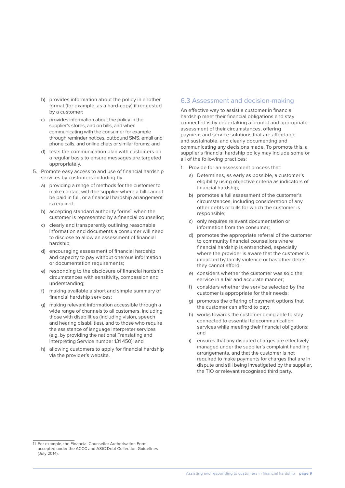- b) provides information about the policy in another format (for example, as a hard-copy) if requested by a customer;
- c) provides information about the policy in the supplier's stores, and on bills, and when communicating with the consumer for example through reminder notices, outbound SMS, email and phone calls, and online chats or similar forums; and
- d) tests the communication plan with customers on a regular basis to ensure messages are targeted appropriately.
- 5. Promote easy access to and use of financial hardship services by customers including by:
	- a) providing a range of methods for the customer to make contact with the supplier where a bill cannot be paid in full, or a financial hardship arrangement is required;
	- b) accepting standard authority forms $11$  when the customer is represented by a financial counsellor;
	- c) clearly and transparently outlining reasonable information and documents a consumer will need to disclose to allow an assessment of financial hardship;
	- d) encouraging assessment of financial hardship and capacity to pay without onerous information or documentation requirements;
	- e) responding to the disclosure of financial hardship circumstances with sensitivity, compassion and understanding;
	- f) making available a short and simple summary of financial hardship services;
	- g) making relevant information accessible through a wide range of channels to all customers, including those with disabilities (including vision, speech and hearing disabilities), and to those who require the assistance of language interpreter services (e.g. by providing the national Translating and Interpreting Service number 131 450); and
	- h) allowing customers to apply for financial hardship via the provider's website.

#### 6.3 Assessment and decision-making

An effective way to assist a customer in financial hardship meet their financial obligations and stay connected is by undertaking a prompt and appropriate assessment of their circumstances, offering payment and service solutions that are affordable and sustainable, and clearly documenting and communicating any decisions made. To promote this, a supplier's financial hardship policy may include some or all of the following practices:

- 1. Provide for an assessment process that:
	- a) Determines, as early as possible, a customer's eligibility using objective criteria as indicators of financial hardship;
	- b) promotes a full assessment of the customer's circumstances, including consideration of any other debts or bills for which the customer is responsible;
	- c) only requires relevant documentation or information from the consumer;
	- d) promotes the appropriate referral of the customer to community financial counsellors where financial hardship is entrenched, especially where the provider is aware that the customer is impacted by family violence or has other debts they cannot afford;
	- e) considers whether the customer was sold the service in a fair and accurate manner;
	- f) considers whether the service selected by the customer is appropriate for their needs;
	- g) promotes the offering of payment options that the customer can afford to pay;
	- h) works towards the customer being able to stay connected to essential telecommunication services while meeting their financial obligations; and
	- i) ensures that any disputed charges are effectively managed under the supplier's complaint handling arrangements, and that the customer is not required to make payments for charges that are in dispute and still being investigated by the supplier, the TIO or relevant recognised third party.

<sup>11</sup> For example, the Financial Counsellor Authorisation Form accepted under the ACCC and ASIC Debt Collection Guidelines (July 2014).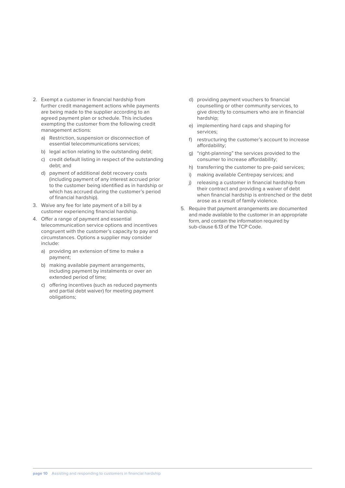- 2. Exempt a customer in financial hardship from further credit management actions while payments are being made to the supplier according to an agreed payment plan or schedule. This includes exempting the customer from the following credit management actions:
	- a) Restriction, suspension or disconnection of essential telecommunications services;
	- b) legal action relating to the outstanding debt;
	- c) credit default listing in respect of the outstanding debt; and
	- d) payment of additional debt recovery costs (including payment of any interest accrued prior to the customer being identified as in hardship or which has accrued during the customer's period of financial hardship).
- 3. Waive any fee for late payment of a bill by a customer experiencing financial hardship.
- 4. Offer a range of payment and essential telecommunication service options and incentives congruent with the customer's capacity to pay and circumstances. Options a supplier may consider include:
	- a) providing an extension of time to make a payment;
	- b) making available payment arrangements, including payment by instalments or over an extended period of time;
	- c) offering incentives (such as reduced payments and partial debt waiver) for meeting payment obligations;
- d) providing payment vouchers to financial counselling or other community services, to give directly to consumers who are in financial hardship;
- e) implementing hard caps and shaping for services;
- f) restructuring the customer's account to increase affordability;
- g) "right-planning" the services provided to the consumer to increase affordability;
- h) transferring the customer to pre-paid services;
- i) making available Centrepay services; and
- j) releasing a customer in financial hardship from their contract and providing a waiver of debt when financial hardship is entrenched or the debt arose as a result of family violence.
- 5. Require that payment arrangements are documented and made available to the customer in an appropriate form, and contain the information required by sub-clause 6.13 of the TCP Code.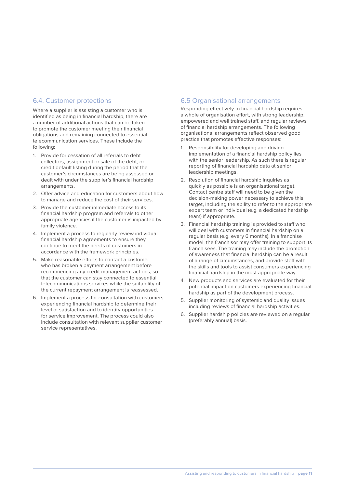#### 6.4. Customer protections

Where a supplier is assisting a customer who is identified as being in financial hardship, there are a number of additional actions that can be taken to promote the customer meeting their financial obligations and remaining connected to essential telecommunication services. These include the following:

- 1. Provide for cessation of all referrals to debt collectors, assignment or sale of the debt, or credit default listing during the period that the customer's circumstances are being assessed or dealt with under the supplier's financial hardship arrangements.
- 2. Offer advice and education for customers about how to manage and reduce the cost of their services.
- 3. Provide the customer immediate access to its financial hardship program and referrals to other appropriate agencies if the customer is impacted by family violence.
- 4. Implement a process to regularly review individual financial hardship agreements to ensure they continue to meet the needs of customers in accordance with the framework principles.
- 5. Make reasonable efforts to contact a customer who has broken a payment arrangement before recommencing any credit management actions, so that the customer can stay connected to essential telecommunications services while the suitability of the current repayment arrangement is reassessed.
- 6. Implement a process for consultation with customers experiencing financial hardship to determine their level of satisfaction and to identify opportunities for service improvement. The process could also include consultation with relevant supplier customer service representatives.

#### 6.5 Organisational arrangements

Responding effectively to financial hardship requires a whole of organisation effort, with strong leadership, empowered and well trained staff, and regular reviews of financial hardship arrangements. The following organisational arrangements reflect observed good practice that promotes effective responses:

- 1. Responsibility for developing and driving implementation of a financial hardship policy lies with the senior leadership. As such there is regular reporting of financial hardship data at senior leadership meetings.
- 2. Resolution of financial hardship inquiries as quickly as possible is an organisational target. Contact centre staff will need to be given the decision-making power necessary to achieve this target, including the ability to refer to the appropriate expert team or individual (e.g. a dedicated hardship team) if appropriate.
- 3. Financial hardship training is provided to staff who will deal with customers in financial hardship on a regular basis (e.g. every 6 months). In a franchise model, the franchisor may offer training to support its franchisees. The training may include the promotion of awareness that financial hardship can be a result of a range of circumstances, and provide staff with the skills and tools to assist consumers experiencing financial hardship in the most appropriate way.
- 4. New products and services are evaluated for their potential impact on customers experiencing financial hardship as part of the development process.
- 5. Supplier monitoring of systemic and quality issues including reviews of financial hardship activities.
- 6. Supplier hardship policies are reviewed on a regular (preferably annual) basis.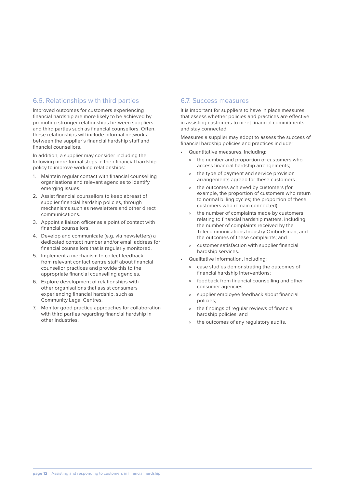#### 6.6. Relationships with third parties

Improved outcomes for customers experiencing financial hardship are more likely to be achieved by promoting stronger relationships between suppliers and third parties such as financial counsellors. Often, these relationships will include informal networks between the supplier's financial hardship staff and financial counsellors.

In addition, a supplier may consider including the following more formal steps in their financial hardship policy to improve working relationships:

- 1. Maintain regular contact with financial counselling organisations and relevant agencies to identify emerging issues.
- 2. Assist financial counsellors to keep abreast of supplier financial hardship policies, through mechanisms such as newsletters and other direct communications.
- 3. Appoint a liaison officer as a point of contact with financial counsellors.
- 4. Develop and communicate (e.g. via newsletters) a dedicated contact number and/or email address for financial counsellors that is regularly monitored.
- 5. Implement a mechanism to collect feedback from relevant contact centre staff about financial counsellor practices and provide this to the appropriate financial counselling agencies.
- 6. Explore development of relationships with other organisations that assist consumers experiencing financial hardship, such as Community Legal Centres.
- 7. Monitor good practice approaches for collaboration with third parties regarding financial hardship in other industries.

#### 6.7. Success measures

It is important for suppliers to have in place measures that assess whether policies and practices are effective in assisting customers to meet financial commitments and stay connected.

Measures a supplier may adopt to assess the success of financial hardship policies and practices include:

- Quantitative measures, including:
	- the number and proportion of customers who access financial hardship arrangements;
	- the type of payment and service provision arrangements agreed for these customers ;
	- the outcomes achieved by customers (for example, the proportion of customers who return to normal billing cycles; the proportion of these customers who remain connected);
	- the number of complaints made by customers relating to financial hardship matters, including the number of complaints received by the Telecommunications Industry Ombudsman, and the outcomes of these complaints; and
	- » customer satisfaction with supplier financial hardship services.
- Qualitative information, including:
	- case studies demonstrating the outcomes of financial hardship interventions;
	- » feedback from financial counselling and other consumer agencies;
	- » supplier employee feedback about financial policies;
	- the findings of regular reviews of financial hardship policies; and
	- the outcomes of any regulatory audits.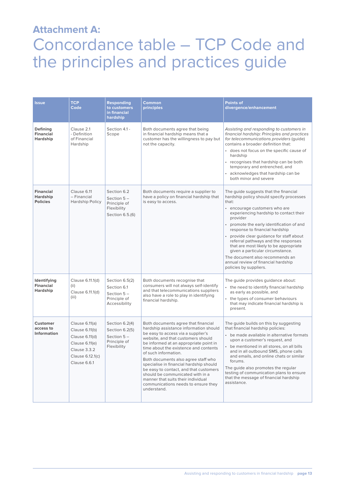### **Attachment A:**  Concordance table – TCP Code and the principles and practices guide

| <b>Issue</b>                                    | <b>TCP</b><br>Code                                                                                                       | <b>Responding</b><br>to customers<br>in financial<br>hardship                   | Common<br>principles                                                                                                                                                                                                                                                                                                                                                                                                                                                                                                             | <b>Points of</b><br>divergence/enhancement                                                                                                                                                                                                                                                                                                                                                                                                                                                                                          |
|-------------------------------------------------|--------------------------------------------------------------------------------------------------------------------------|---------------------------------------------------------------------------------|----------------------------------------------------------------------------------------------------------------------------------------------------------------------------------------------------------------------------------------------------------------------------------------------------------------------------------------------------------------------------------------------------------------------------------------------------------------------------------------------------------------------------------|-------------------------------------------------------------------------------------------------------------------------------------------------------------------------------------------------------------------------------------------------------------------------------------------------------------------------------------------------------------------------------------------------------------------------------------------------------------------------------------------------------------------------------------|
| Defining<br><b>Financial</b><br>Hardship        | Clause 2.1<br>- Definition<br>of Financial<br>Hardship                                                                   | Section 4.1 -<br>Scope                                                          | Both documents agree that being<br>in financial hardship means that a<br>customer has the willingness to pay but<br>not the capacity.                                                                                                                                                                                                                                                                                                                                                                                            | Assisting and responding to customers in<br>financial hardship: Principles and practices<br>for telecommunications providers (guide)<br>contains a broader definition that:<br>• does not focus on the specific cause of<br>hardship<br>• recognises that hardship can be both<br>temporary and entrenched, and<br>• acknowledges that hardship can be<br>both minor and severe                                                                                                                                                     |
| <b>Financial</b><br>Hardship<br><b>Policies</b> | Clause 6.11<br>- Financial<br><b>Hardship Policy</b>                                                                     | Section 6.2<br>Section $5-$<br>Principle of<br>Flexibility<br>Section 6.5.(6)   | Both documents require a supplier to<br>have a policy on financial hardship that<br>is easy to access.                                                                                                                                                                                                                                                                                                                                                                                                                           | The guide suggests that the financial<br>hardship policy should specify processes<br>that:<br>• encourage customers who are<br>experiencing hardship to contact their<br>provider<br>promote the early identification of and<br>response to financial hardship<br>• provide clear guidance for staff about<br>referral pathways and the responses<br>that are most likely to be appropriate<br>given a particular circumstance.<br>The document also recommends an<br>annual review of financial hardship<br>policies by suppliers. |
| Identifying<br><b>Financial</b><br>Hardship     | Clause 6.11.1(d)<br>(ii)<br>Clause 6.11.1(d)<br>(iii)                                                                    | Section 6.5(2)<br>Section 6.1<br>Section $5-$<br>Principle of<br>Accessibility  | Both documents recognise that<br>consumers will not always self-identify<br>and that telecommunications suppliers<br>also have a role to play in identifying<br>financial hardship.                                                                                                                                                                                                                                                                                                                                              | The guide provides guidance about:<br>• the need to identify financial hardship<br>as early as possible, and<br>• the types of consumer behaviours<br>that may indicate financial hardship is<br>present.                                                                                                                                                                                                                                                                                                                           |
| <b>Customer</b><br>access to<br>Information     | Clause 6.11(a)<br>Clause 6.11(b)<br>Clause 6.11(d)<br>Clause 6.11(e)<br>Clause 3.3.2<br>Clause 6.12.1(c)<br>Clause 6.6.1 | Section 6.2(4)<br>Section 6.2(5)<br>Section $5-$<br>Principle of<br>Flexibility | Both documents agree that financial<br>hardship assistance information should<br>be easy to access via a supplier's<br>website, and that customers should<br>be informed at an appropriate point in<br>time about the existence and contents<br>of such information.<br>Both documents also agree staff who<br>specialise in financial hardship should<br>be easy to contact, and that customers<br>should be communicated with in a<br>manner that suits their individual<br>communications needs to ensure they<br>understand. | The quide builds on this by suggesting<br>that financial hardship policies:<br>• be made available in alternative formats<br>upon a customer's request, and<br>be mentioned in all stores, on all bills<br>and in all outbound SMS, phone calls<br>and emails, and online chats or similar<br>forums.<br>The guide also promotes the regular<br>testing of communication plans to ensure<br>that the message of financial hardship<br>assistance.                                                                                   |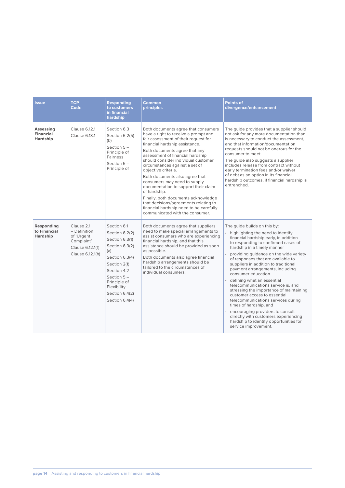| Issue                                            | <b>TCP</b><br>Code                                                                             | <b>Responding</b><br>to customers<br>in financial<br>hardship                                                                                                                                                 | Common<br>principles                                                                                                                                                                                                                                                                                                                                                                                                                                                                                                                                                                                               | <b>Points of</b><br>divergence/enhancement                                                                                                                                                                                                                                                                                                                                                                                                                                                                                                                                                                                                                                                                                             |
|--------------------------------------------------|------------------------------------------------------------------------------------------------|---------------------------------------------------------------------------------------------------------------------------------------------------------------------------------------------------------------|--------------------------------------------------------------------------------------------------------------------------------------------------------------------------------------------------------------------------------------------------------------------------------------------------------------------------------------------------------------------------------------------------------------------------------------------------------------------------------------------------------------------------------------------------------------------------------------------------------------------|----------------------------------------------------------------------------------------------------------------------------------------------------------------------------------------------------------------------------------------------------------------------------------------------------------------------------------------------------------------------------------------------------------------------------------------------------------------------------------------------------------------------------------------------------------------------------------------------------------------------------------------------------------------------------------------------------------------------------------------|
| Assessing<br><b>Financial</b><br><b>Hardship</b> | Clause 6.12.1<br>Clause 6.13.1                                                                 | Section 6.3<br>Section 6.2(5)<br>(b)<br>Section $5-$<br>Principle of<br>Fairness<br>Section $5-$<br>Principle of                                                                                              | Both documents agree that consumers<br>have a right to receive a prompt and<br>fair assessment of their request for<br>financial hardship assistance.<br>Both documents agree that any<br>assessment of financial hardship<br>should consider individual customer<br>circumstances against a set of<br>objective criteria.<br>Both documents also agree that<br>consumers may need to supply<br>documentation to support their claim<br>of hardship.<br>Finally, both documents acknowledge<br>that decisions/agreements relating to<br>financial hardship need to be carefully<br>communicated with the consumer. | The guide provides that a supplier should<br>not ask for any more documentation than<br>is necessary to conduct the assessment,<br>and that information/documentation<br>requests should not be onerous for the<br>consumer to meet.<br>The guide also suggests a supplier<br>includes release from contract without<br>early termination fees and/or waiver<br>of debt as an option in its financial<br>hardship outcomes, if financial hardship is<br>entrenched.                                                                                                                                                                                                                                                                    |
| Responding<br>to Financial<br><b>Hardship</b>    | Clause 2.1<br>- Definition<br>of 'Urgent<br>Complaint'<br>Clause 6.12.1(f)<br>Clause 6.12.1(h) | Section 6.1<br>Section 6.2(2)<br>Section 6.3(1)<br>Section 6.3(2)<br>(a)<br>Section 6.3(4)<br>Section 2(1)<br>Section 4.2<br>Section $5 -$<br>Principle of<br>Flexibility<br>Section 6.4(2)<br>Section 6.4(4) | Both documents agree that suppliers<br>need to make special arrangements to<br>assist consumers who are experiencing<br>financial hardship, and that this<br>assistance should be provided as soon<br>as possible.<br>Both documents also agree financial<br>hardship arrangements should be<br>tailored to the circumstances of<br>individual consumers.                                                                                                                                                                                                                                                          | The guide builds on this by:<br>• highlighting the need to identify<br>financial hardship early, in addition<br>to responding to confirmed cases of<br>hardship in a timely manner<br>• providing quidance on the wide variety<br>of responses that are available to<br>suppliers in addition to traditional<br>payment arrangements, including<br>consumer education<br>• defining what an essential<br>telecommunications service is, and<br>stressing the importance of maintaining<br>customer access to essential<br>telecommunications services during<br>times of hardship, and<br>• encouraging providers to consult<br>directly with customers experiencing<br>hardship to identify opportunities for<br>service improvement. |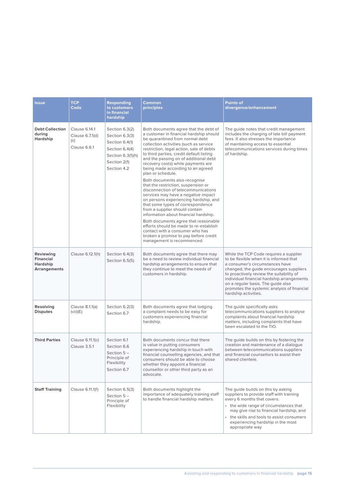| <b>Issue</b>                                                            | <b>TCP</b><br>Code                                       | <b>Responding</b><br>to customers<br>in financial<br>hardship                                                            | <b>Common</b><br>principles                                                                                                                                                                                                                                                                                                                                                                                                                                                                                                                                                                                                                                                                                                                                                                                                                                                                               | <b>Points of</b><br>divergence/enhancement                                                                                                                                                                                                                                                                                                                             |
|-------------------------------------------------------------------------|----------------------------------------------------------|--------------------------------------------------------------------------------------------------------------------------|-----------------------------------------------------------------------------------------------------------------------------------------------------------------------------------------------------------------------------------------------------------------------------------------------------------------------------------------------------------------------------------------------------------------------------------------------------------------------------------------------------------------------------------------------------------------------------------------------------------------------------------------------------------------------------------------------------------------------------------------------------------------------------------------------------------------------------------------------------------------------------------------------------------|------------------------------------------------------------------------------------------------------------------------------------------------------------------------------------------------------------------------------------------------------------------------------------------------------------------------------------------------------------------------|
| <b>Debt Collection</b><br>during<br>Hardship                            | Clause 6.14.1<br>Clause 6.7.1(d)<br>(ii)<br>Clause 6.6.1 | Section 6.3(2)<br>Section 6.3(3)<br>Section 6.4(1)<br>Section 6.4(4)<br>Section 6.3(1)(h)<br>Section 2(1)<br>Section 4.2 | Both documents agree that the debt of<br>a customer in financial hardship should<br>be quarantined from normal debt<br>collection activities (such as service<br>restriction, legal action, sale of debts<br>to third parties, credit default listing<br>and the passing on of additional debt<br>recovery costs) while payments are<br>being made according to an agreed<br>plan or schedule.<br>Both documents also recognise<br>that the restriction, suspension or<br>disconnection of telecommunications<br>services may have a negative impact<br>on persons experiencing hardship, and<br>that some types of correspondence<br>from a supplier should contain<br>information about financial hardship.<br>Both documents agree that reasonable<br>efforts should be made to re-establish<br>contact with a consumer who has<br>broken a promise to pay before credit<br>management is recommenced. | The guide notes that credit management<br>includes the charging of late bill payment<br>fees. It also stresses the importance<br>of maintaining access to essential<br>telecommunications services during times<br>of hardship.                                                                                                                                        |
| Reviewing<br><b>Financial</b><br><b>Hardship</b><br><b>Arrangements</b> | Clause 6.12.1(h)                                         | Section 6.4(3)<br>Section 6.5(5)                                                                                         | Both documents agree that there may<br>be a need to review individual financial<br>hardship arrangements to ensure that<br>they continue to meet the needs of<br>customers in hardship.                                                                                                                                                                                                                                                                                                                                                                                                                                                                                                                                                                                                                                                                                                                   | While the TCP Code requires a supplier<br>to be flexible when it is informed that<br>a consumer's circumstances have<br>changed, the guide encourages suppliers<br>to proactively review the suitability of<br>individual financial hardship arrangements<br>on a regular basis. The guide also<br>promotes the systemic analysis of financial<br>hardship activities. |
| Resolving<br><b>Disputes</b>                                            | Clause 8.1.1(a)<br>(vii)(E)                              | Section 6.2(3)<br>Section 6.7                                                                                            | Both documents agree that lodging<br>a complaint needs to be easy for<br>customers experiencing financial<br>hardship.                                                                                                                                                                                                                                                                                                                                                                                                                                                                                                                                                                                                                                                                                                                                                                                    | The guide specifically asks<br>telecommunications suppliers to analyse<br>complaints about financial hardship<br>matters, including complaints that have<br>been escalated to the TIO.                                                                                                                                                                                 |
| <b>Third Parties</b>                                                    | Clause 6.11.1(c)<br>Clause 3.5.1                         | Section 6.1<br>Section 6.6<br>Section $5-$<br>Principle of<br>Flexibility<br>Section 6.7                                 | Both documents concur that there<br>is value in putting consumers<br>experiencing hardship in touch with<br>financial counselling agencies, and that<br>consumers should be able to choose<br>whether they appoint a financial<br>counsellor or other third party as an<br>advocate.                                                                                                                                                                                                                                                                                                                                                                                                                                                                                                                                                                                                                      | The guide builds on this by fostering the<br>creation and maintenance of a dialogue<br>between telecommunications suppliers<br>and financial counsellors to assist their<br>shared clientele.                                                                                                                                                                          |
| <b>Staff Training</b>                                                   | Clause 6.11.1(f)                                         | Section 6.5(3)<br>Section $5-$<br>Principle of<br>Flexibility                                                            | Both documents highlight the<br>importance of adequately training staff<br>to handle financial hardship matters.                                                                                                                                                                                                                                                                                                                                                                                                                                                                                                                                                                                                                                                                                                                                                                                          | The guide builds on this by asking<br>suppliers to provide staff with training<br>every 6 months that covers:<br>• the wide range of circumstances that<br>may give rise to financial hardship, and<br>• the skills and tools to assist consumers<br>experiencing hardship in the most<br>appropriate way                                                              |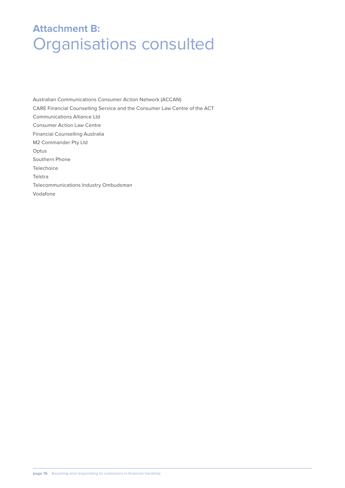### **Attachment B:**  Organisations consulted

Australian Communications Consumer Action Network (ACCAN) CARE Financial Counselling Service and the Consumer Law Centre of the ACT Communications Alliance Ltd Consumer Action Law Centre Financial Counselling Australia M2 Commander Pty Ltd Optus Southern Phone Telechoice Telstra Telecommunications Industry Ombudsman Vodafone